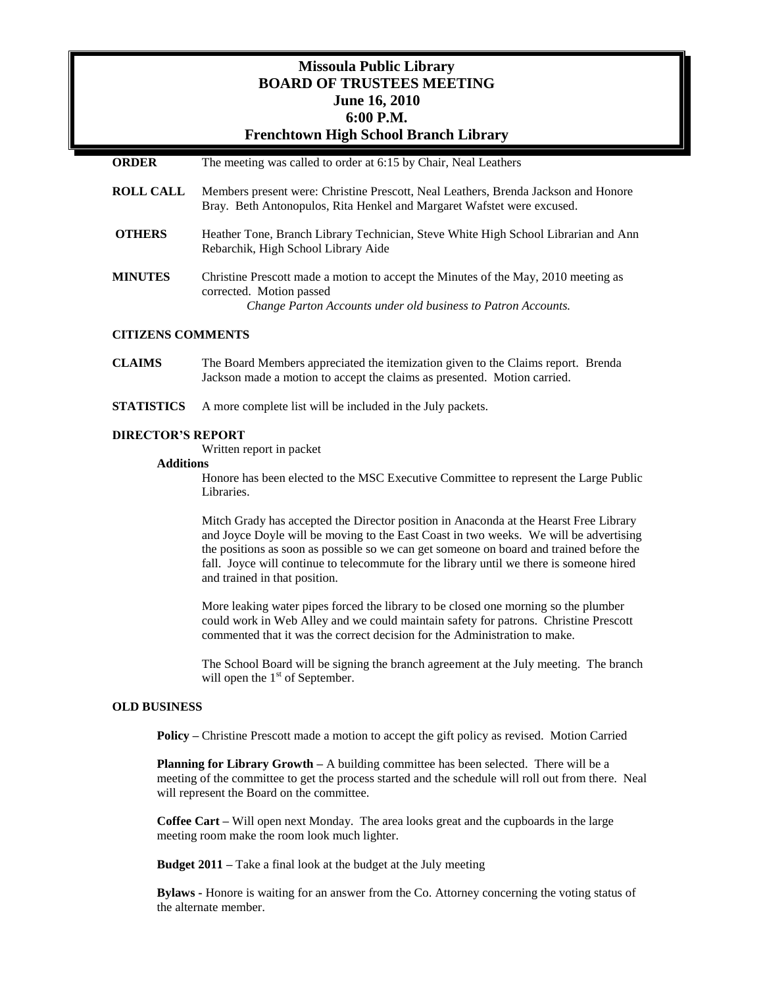# **Missoula Public Library BOARD OF TRUSTEES MEETING June 16, 2010 6:00 P.M. Frenchtown High School Branch Library**

| <b>ORDER</b>     | The meeting was called to order at 6:15 by Chair, Neal Leathers                                                                                                                 |
|------------------|---------------------------------------------------------------------------------------------------------------------------------------------------------------------------------|
| <b>ROLL CALL</b> | Members present were: Christine Prescott, Neal Leathers, Brenda Jackson and Honore<br>Bray. Beth Antonopulos, Rita Henkel and Margaret Wafstet were excused.                    |
| <b>OTHERS</b>    | Heather Tone, Branch Library Technician, Steve White High School Librarian and Ann<br>Rebarchik, High School Library Aide                                                       |
| <b>MINUTES</b>   | Christine Prescott made a motion to accept the Minutes of the May, 2010 meeting as<br>corrected. Motion passed<br>Change Parton Accounts under old business to Patron Accounts. |

#### **CITIZENS COMMENTS**

**CLAIMS** The Board Members appreciated the itemization given to the Claims report. Brenda Jackson made a motion to accept the claims as presented. Motion carried.

**STATISTICS** A more complete list will be included in the July packets.

### **DIRECTOR'S REPORT**

Written report in packet

#### **Additions**

Honore has been elected to the MSC Executive Committee to represent the Large Public Libraries.

Mitch Grady has accepted the Director position in Anaconda at the Hearst Free Library and Joyce Doyle will be moving to the East Coast in two weeks. We will be advertising the positions as soon as possible so we can get someone on board and trained before the fall. Joyce will continue to telecommute for the library until we there is someone hired and trained in that position.

More leaking water pipes forced the library to be closed one morning so the plumber could work in Web Alley and we could maintain safety for patrons. Christine Prescott commented that it was the correct decision for the Administration to make.

The School Board will be signing the branch agreement at the July meeting. The branch will open the  $1<sup>st</sup>$  of September.

### **OLD BUSINESS**

**Policy –** Christine Prescott made a motion to accept the gift policy as revised. Motion Carried

**Planning for Library Growth** – A building committee has been selected. There will be a meeting of the committee to get the process started and the schedule will roll out from there. Neal will represent the Board on the committee.

**Coffee Cart –** Will open next Monday. The area looks great and the cupboards in the large meeting room make the room look much lighter.

**Budget 2011 –** Take a final look at the budget at the July meeting

**Bylaws -** Honore is waiting for an answer from the Co. Attorney concerning the voting status of the alternate member.